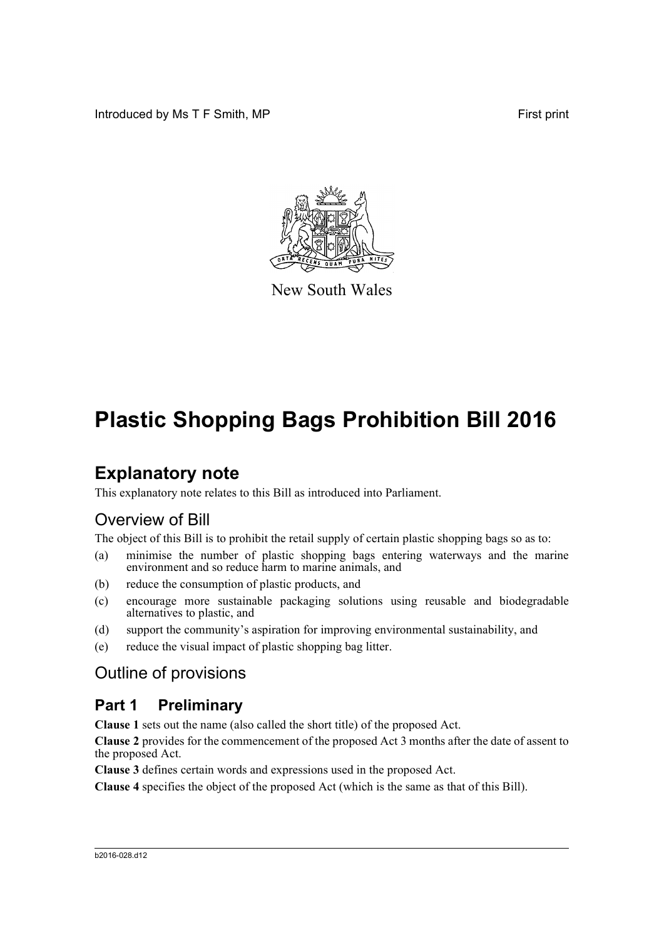Introduced by Ms T F Smith, MP First print



New South Wales

## **Plastic Shopping Bags Prohibition Bill 2016**

## **Explanatory note**

This explanatory note relates to this Bill as introduced into Parliament.

## Overview of Bill

The object of this Bill is to prohibit the retail supply of certain plastic shopping bags so as to:

- (a) minimise the number of plastic shopping bags entering waterways and the marine environment and so reduce harm to marine animals, and
- (b) reduce the consumption of plastic products, and
- (c) encourage more sustainable packaging solutions using reusable and biodegradable alternatives to plastic, and
- (d) support the community's aspiration for improving environmental sustainability, and
- (e) reduce the visual impact of plastic shopping bag litter.

## Outline of provisions

## **Part 1 Preliminary**

**Clause 1** sets out the name (also called the short title) of the proposed Act.

**Clause 2** provides for the commencement of the proposed Act 3 months after the date of assent to the proposed Act.

**Clause 3** defines certain words and expressions used in the proposed Act.

**Clause 4** specifies the object of the proposed Act (which is the same as that of this Bill).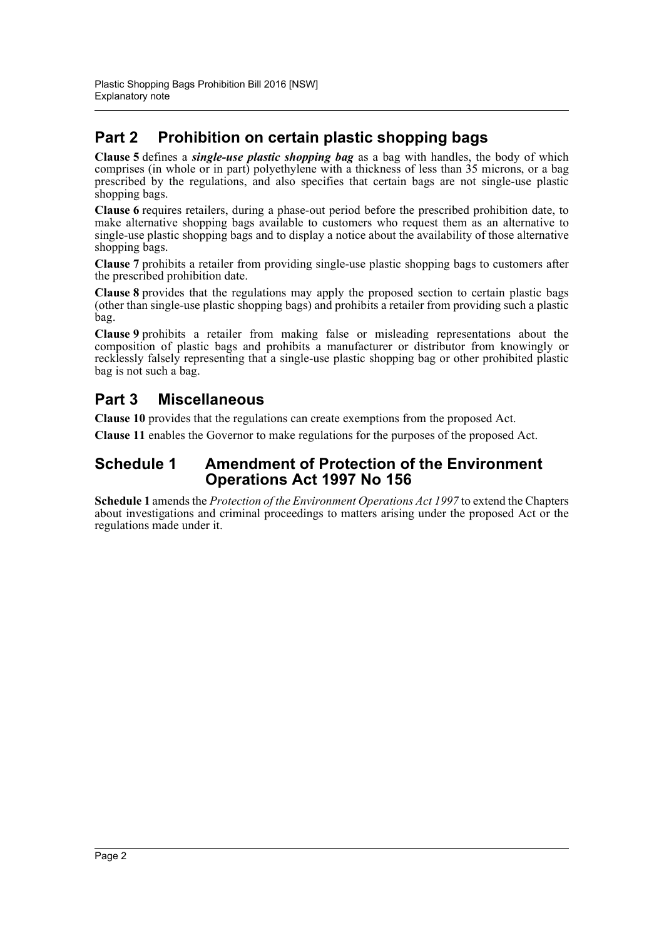## **Part 2 Prohibition on certain plastic shopping bags**

**Clause 5** defines a *single-use plastic shopping bag* as a bag with handles, the body of which comprises (in whole or in part) polyethylene with a thickness of less than 35 microns, or a bag prescribed by the regulations, and also specifies that certain bags are not single-use plastic shopping bags.

**Clause 6** requires retailers, during a phase-out period before the prescribed prohibition date, to make alternative shopping bags available to customers who request them as an alternative to single-use plastic shopping bags and to display a notice about the availability of those alternative shopping bags.

**Clause 7** prohibits a retailer from providing single-use plastic shopping bags to customers after the prescribed prohibition date.

**Clause 8** provides that the regulations may apply the proposed section to certain plastic bags (other than single-use plastic shopping bags) and prohibits a retailer from providing such a plastic bag.

**Clause 9** prohibits a retailer from making false or misleading representations about the composition of plastic bags and prohibits a manufacturer or distributor from knowingly or recklessly falsely representing that a single-use plastic shopping bag or other prohibited plastic bag is not such a bag.

## **Part 3 Miscellaneous**

**Clause 10** provides that the regulations can create exemptions from the proposed Act.

**Clause 11** enables the Governor to make regulations for the purposes of the proposed Act.

### **Schedule 1 Amendment of Protection of the Environment Operations Act 1997 No 156**

**Schedule 1** amends the *Protection of the Environment Operations Act 1997* to extend the Chapters about investigations and criminal proceedings to matters arising under the proposed Act or the regulations made under it.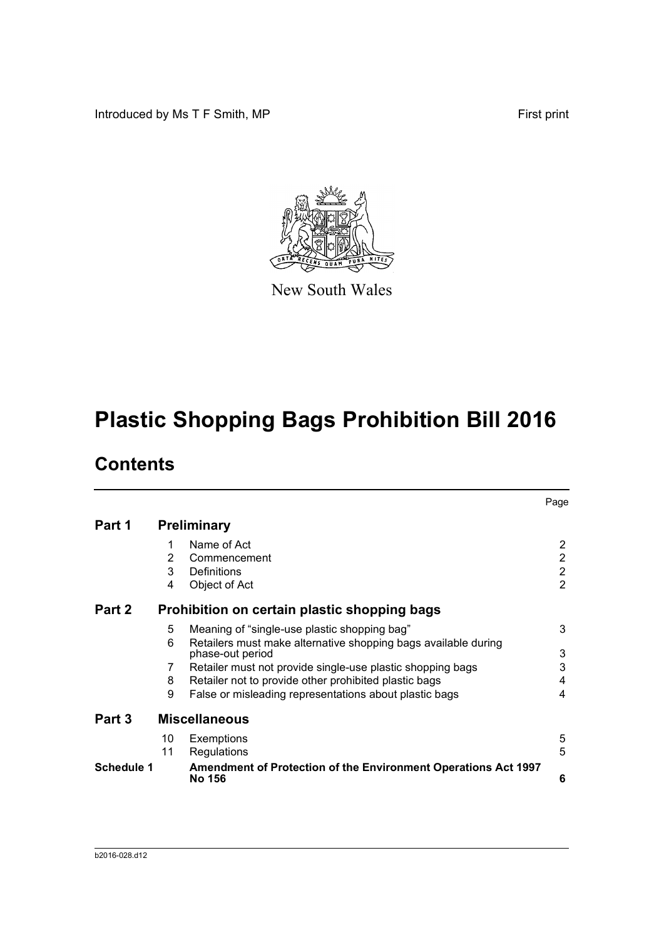Introduced by Ms T F Smith, MP First print



New South Wales

# **Plastic Shopping Bags Prohibition Bill 2016**

## **Contents**

|            |                                              |                                                                                 | Page           |  |  |
|------------|----------------------------------------------|---------------------------------------------------------------------------------|----------------|--|--|
| Part 1     | <b>Preliminary</b>                           |                                                                                 |                |  |  |
|            | 1                                            | Name of Act                                                                     | $\overline{2}$ |  |  |
|            | 2                                            | Commencement                                                                    | $\overline{2}$ |  |  |
|            | 3                                            | Definitions                                                                     | $\overline{2}$ |  |  |
|            | 4                                            | Object of Act                                                                   | $\overline{2}$ |  |  |
| Part 2     | Prohibition on certain plastic shopping bags |                                                                                 |                |  |  |
|            | 5                                            | Meaning of "single-use plastic shopping bag"                                    | 3              |  |  |
|            | 6                                            | Retailers must make alternative shopping bags available during                  |                |  |  |
|            |                                              | phase-out period                                                                | 3              |  |  |
|            | 7                                            | Retailer must not provide single-use plastic shopping bags                      | 3              |  |  |
|            | 8                                            | Retailer not to provide other prohibited plastic bags                           | 4              |  |  |
|            | 9                                            | False or misleading representations about plastic bags                          | 4              |  |  |
| Part 3     | <b>Miscellaneous</b>                         |                                                                                 |                |  |  |
|            | 10                                           | Exemptions                                                                      | 5              |  |  |
|            | 11                                           | Regulations                                                                     | 5              |  |  |
| Schedule 1 |                                              | Amendment of Protection of the Environment Operations Act 1997<br><b>No 156</b> | 6              |  |  |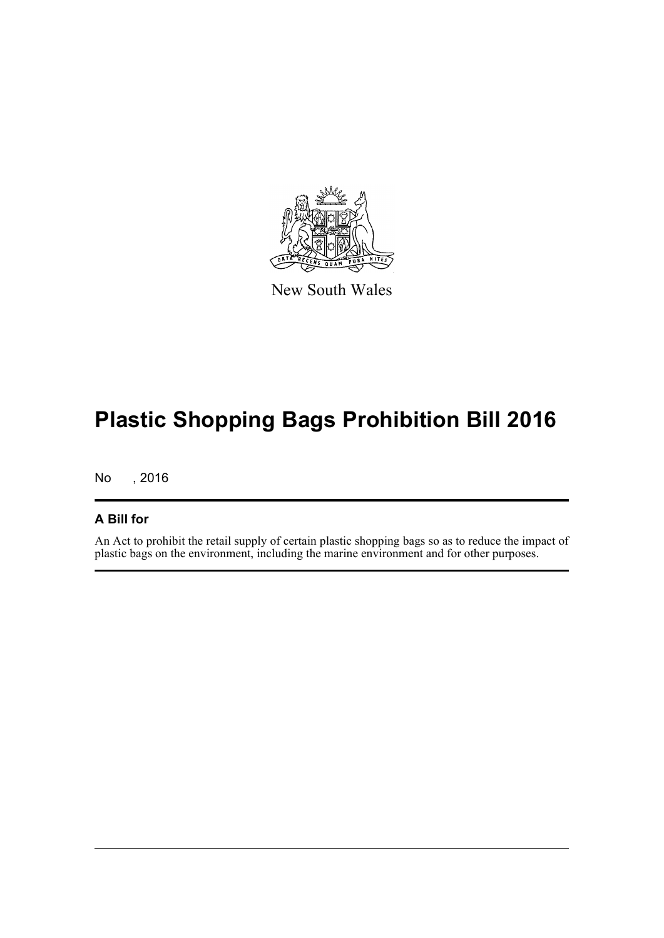

New South Wales

## **Plastic Shopping Bags Prohibition Bill 2016**

No , 2016

### **A Bill for**

An Act to prohibit the retail supply of certain plastic shopping bags so as to reduce the impact of plastic bags on the environment, including the marine environment and for other purposes.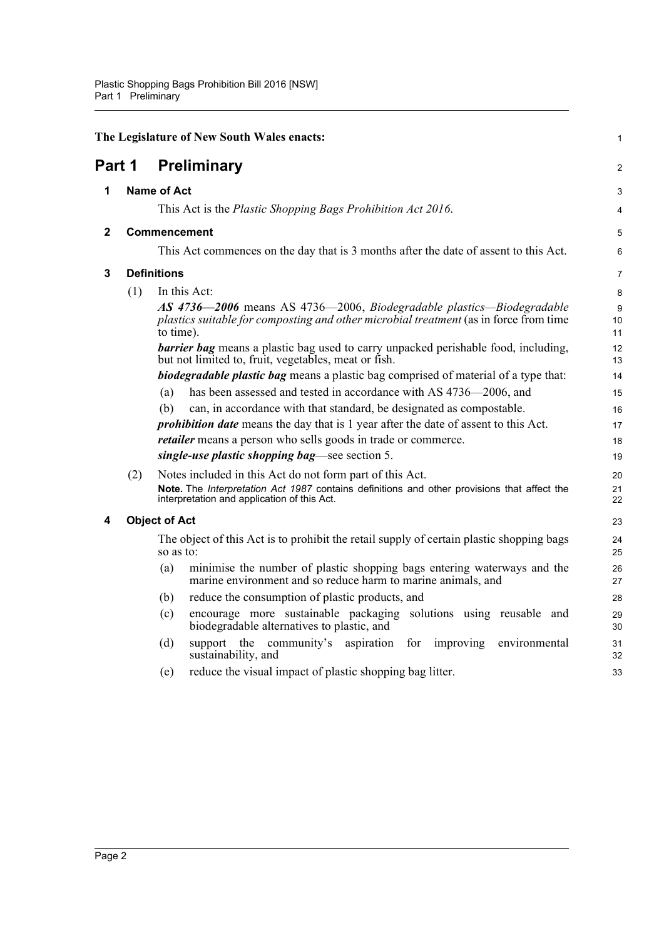<span id="page-4-4"></span><span id="page-4-3"></span><span id="page-4-2"></span><span id="page-4-1"></span><span id="page-4-0"></span>

|              |     | The Legislature of New South Wales enacts:                                                                                                                                  | 1              |
|--------------|-----|-----------------------------------------------------------------------------------------------------------------------------------------------------------------------------|----------------|
| Part 1       |     | <b>Preliminary</b>                                                                                                                                                          | $\overline{c}$ |
| 1            |     | <b>Name of Act</b>                                                                                                                                                          | 3              |
|              |     | This Act is the Plastic Shopping Bags Prohibition Act 2016.                                                                                                                 | 4              |
| $\mathbf{2}$ |     | <b>Commencement</b>                                                                                                                                                         |                |
|              |     | This Act commences on the day that is 3 months after the date of assent to this Act.                                                                                        | 6              |
| 3            |     | <b>Definitions</b>                                                                                                                                                          | 7              |
|              | (1) | In this Act:                                                                                                                                                                | 8              |
|              |     | AS 4736-2006 means AS 4736-2006, Biodegradable plastics-Biodegradable<br>plastics suitable for composting and other microbial treatment (as in force from time<br>to time). | 9<br>10<br>11  |
|              |     | <b>barrier bag</b> means a plastic bag used to carry unpacked perishable food, including,<br>but not limited to, fruit, vegetables, meat or fish.                           | 12<br>13       |
|              |     | <b>biodegradable plastic bag</b> means a plastic bag comprised of material of a type that:                                                                                  | 14             |
|              |     | has been assessed and tested in accordance with AS 4736–2006, and<br>(a)                                                                                                    | 15             |
|              |     | (b)<br>can, in accordance with that standard, be designated as compostable.                                                                                                 | 16             |
|              |     | <i>prohibition date</i> means the day that is 1 year after the date of assent to this Act.                                                                                  | 17             |
|              |     | <i>retailer</i> means a person who sells goods in trade or commerce.                                                                                                        | 18             |
|              |     | single-use plastic shopping bag—see section 5.                                                                                                                              | 19             |
|              | (2) | Notes included in this Act do not form part of this Act.                                                                                                                    | 20             |
|              |     | Note. The Interpretation Act 1987 contains definitions and other provisions that affect the<br>interpretation and application of this Act.                                  | 21<br>22       |
| 4            |     | <b>Object of Act</b>                                                                                                                                                        | 23             |
|              |     | The object of this Act is to prohibit the retail supply of certain plastic shopping bags<br>so as to:                                                                       | 24<br>25       |
|              |     | minimise the number of plastic shopping bags entering waterways and the<br>(a)<br>marine environment and so reduce harm to marine animals, and                              | 26<br>27       |
|              |     | reduce the consumption of plastic products, and<br>(b)                                                                                                                      | 28             |
|              |     | encourage more sustainable packaging solutions using reusable and<br>(c)<br>biodegradable alternatives to plastic, and                                                      | 29<br>30       |
|              |     | support the community's aspiration<br>(d)<br>for<br>improving<br>environmental<br>sustainability, and                                                                       | 31<br>32       |
|              |     | reduce the visual impact of plastic shopping bag litter.<br>(e)                                                                                                             | 33             |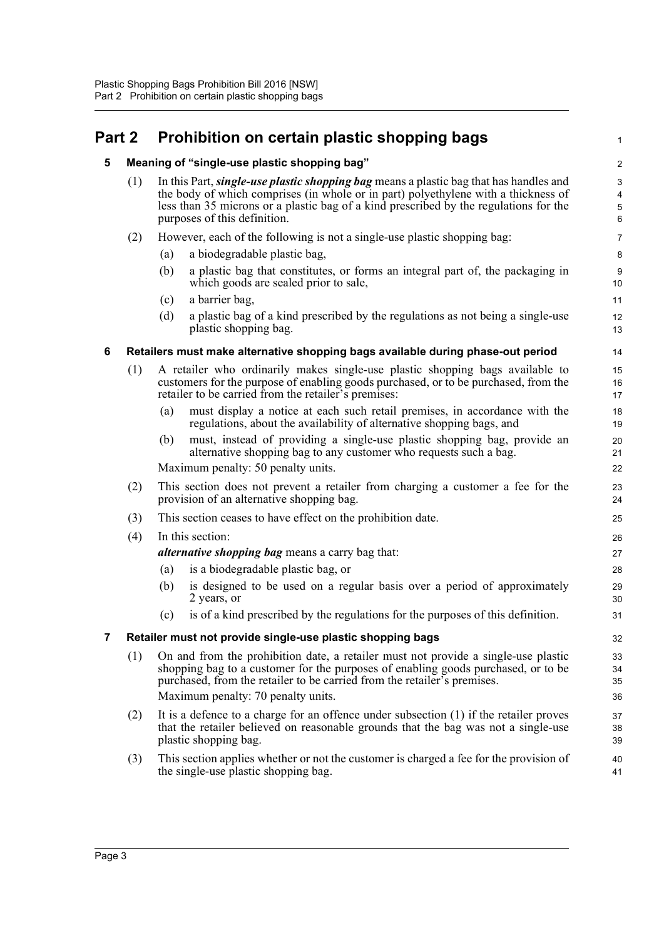### <span id="page-5-1"></span><span id="page-5-0"></span>**Part 2 Prohibition on certain plastic shopping bags**

(1) In this Part, *single-use plastic shopping bag* means a plastic bag that has handles and the body of which comprises (in whole or in part) polyethylene with a thickness of less than 35 microns or a plastic bag of a kind prescribed by the regulations for the purposes of this definition.

1

- (2) However, each of the following is not a single-use plastic shopping bag:
	- (a) a biodegradable plastic bag,
	- (b) a plastic bag that constitutes, or forms an integral part of, the packaging in which goods are sealed prior to sale,
	- (c) a barrier bag,
	- (d) a plastic bag of a kind prescribed by the regulations as not being a single-use plastic shopping bag.

#### <span id="page-5-2"></span>**6 Retailers must make alternative shopping bags available during phase-out period**

- (1) A retailer who ordinarily makes single-use plastic shopping bags available to customers for the purpose of enabling goods purchased, or to be purchased, from the retailer to be carried from the retailer's premises:
	- (a) must display a notice at each such retail premises, in accordance with the regulations, about the availability of alternative shopping bags, and
	- (b) must, instead of providing a single-use plastic shopping bag, provide an alternative shopping bag to any customer who requests such a bag.

Maximum penalty: 50 penalty units.

- (2) This section does not prevent a retailer from charging a customer a fee for the provision of an alternative shopping bag.
- (3) This section ceases to have effect on the prohibition date.
- (4) In this section:

*alternative shopping bag* means a carry bag that:

- (a) is a biodegradable plastic bag, or
- (b) is designed to be used on a regular basis over a period of approximately 2 years, or
- (c) is of a kind prescribed by the regulations for the purposes of this definition.

#### <span id="page-5-3"></span>**7 Retailer must not provide single-use plastic shopping bags**

- (1) On and from the prohibition date, a retailer must not provide a single-use plastic shopping bag to a customer for the purposes of enabling goods purchased, or to be purchased, from the retailer to be carried from the retailer's premises. Maximum penalty: 70 penalty units.
- (2) It is a defence to a charge for an offence under subsection (1) if the retailer proves that the retailer believed on reasonable grounds that the bag was not a single-use plastic shopping bag.
- (3) This section applies whether or not the customer is charged a fee for the provision of the single-use plastic shopping bag.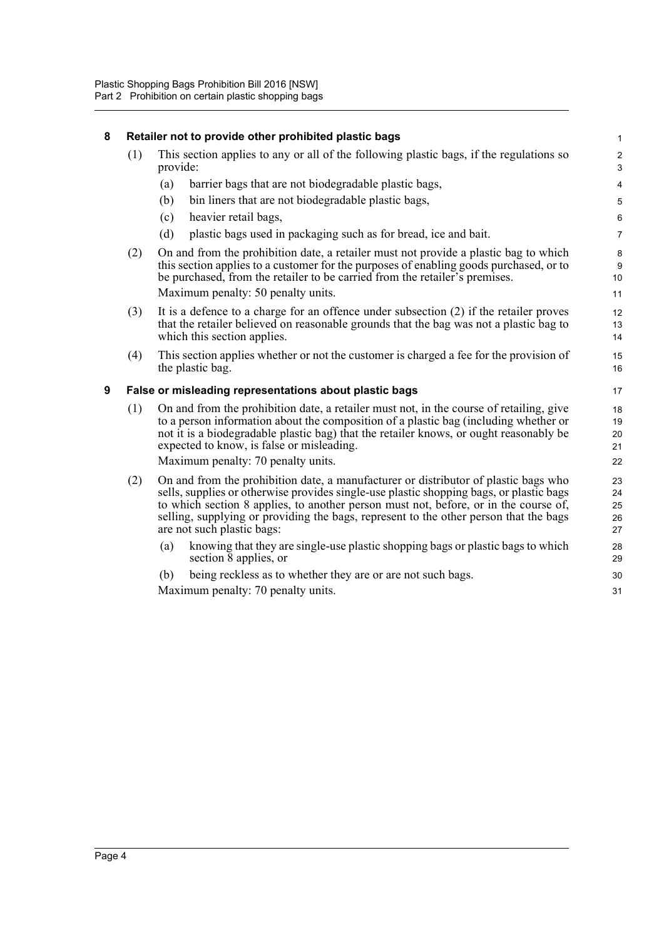#### <span id="page-6-1"></span><span id="page-6-0"></span>**8 Retailer not to provide other prohibited plastic bags** (1) This section applies to any or all of the following plastic bags, if the regulations so provide: (a) barrier bags that are not biodegradable plastic bags, (b) bin liners that are not biodegradable plastic bags, (c) heavier retail bags, (d) plastic bags used in packaging such as for bread, ice and bait. (2) On and from the prohibition date, a retailer must not provide a plastic bag to which this section applies to a customer for the purposes of enabling goods purchased, or to be purchased, from the retailer to be carried from the retailer's premises. Maximum penalty: 50 penalty units. (3) It is a defence to a charge for an offence under subsection (2) if the retailer proves that the retailer believed on reasonable grounds that the bag was not a plastic bag to which this section applies. (4) This section applies whether or not the customer is charged a fee for the provision of the plastic bag. **9 False or misleading representations about plastic bags** (1) On and from the prohibition date, a retailer must not, in the course of retailing, give to a person information about the composition of a plastic bag (including whether or not it is a biodegradable plastic bag) that the retailer knows, or ought reasonably be expected to know, is false or misleading. Maximum penalty: 70 penalty units. (2) On and from the prohibition date, a manufacturer or distributor of plastic bags who sells, supplies or otherwise provides single-use plastic shopping bags, or plastic bags to which section 8 applies, to another person must not, before, or in the course of, selling, supplying or providing the bags, represent to the other person that the bags are not such plastic bags: (a) knowing that they are single-use plastic shopping bags or plastic bags to which section 8 applies, or (b) being reckless as to whether they are or are not such bags. Maximum penalty: 70 penalty units. 1 2 3 4 5 6 7 8 9 10 11 12 13 14 15 16 17 18 19 20 21 22 23 24 25 26 27 28 29 30 31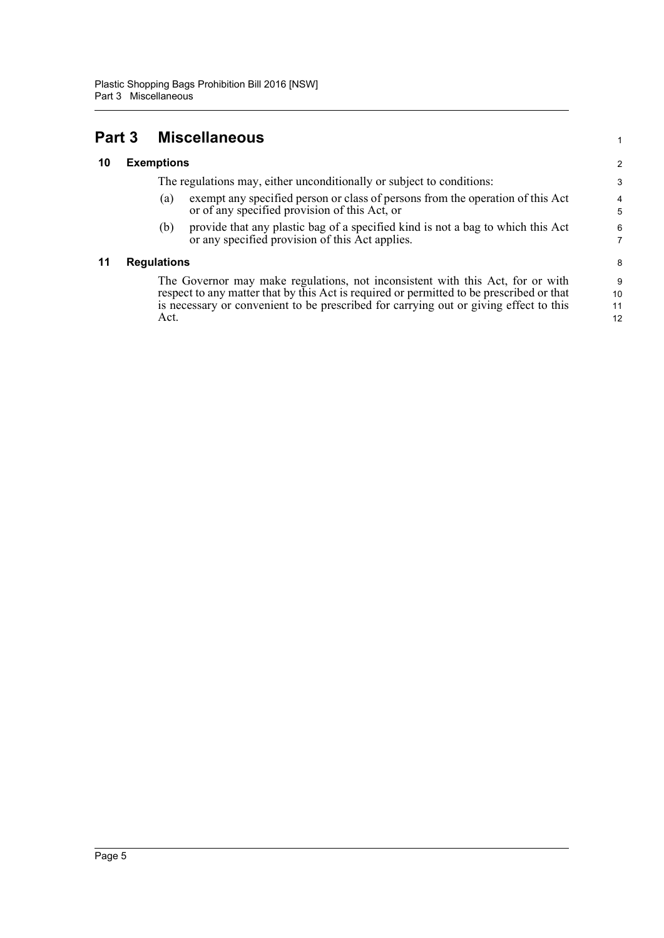Act.

<span id="page-7-1"></span><span id="page-7-0"></span>

| Part 3 |                    |                   | <b>Miscellaneous</b>                                                                                                                                                       |  |
|--------|--------------------|-------------------|----------------------------------------------------------------------------------------------------------------------------------------------------------------------------|--|
| 10     |                    | <b>Exemptions</b> |                                                                                                                                                                            |  |
|        |                    |                   | The regulations may, either unconditionally or subject to conditions:                                                                                                      |  |
|        |                    | (a)               | exempt any specified person or class of persons from the operation of this Act<br>or of any specified provision of this Act, or                                            |  |
|        |                    | (b)               | provide that any plastic bag of a specified kind is not a bag to which this Act<br>or any specified provision of this Act applies.                                         |  |
| 11     | <b>Regulations</b> |                   |                                                                                                                                                                            |  |
|        |                    |                   | The Governor may make regulations, not inconsistent with this Act, for or with<br>respect to any matter that by this Act is required or permitted to be prescribed or that |  |

<span id="page-7-2"></span>is necessary or convenient to be prescribed for carrying out or giving effect to this

12

1